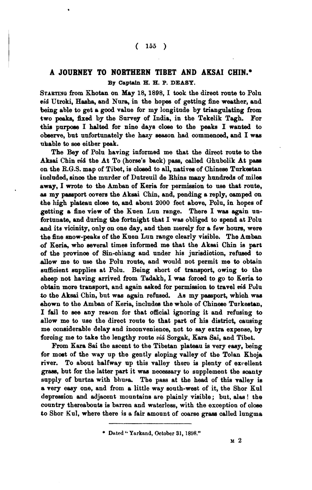## $(155)$

## **A JOURNEY TO NORTHERN TIBET AND AKSAI CHIN.\* By Captain H. H.** P. **DEASY.**

STARTING from Khotan on May 18, 1898, I took the direct route to Polu **aid** Utroki, **Haaha,** and Nura, in the hopes of getting fine weather, and being able to get a good value for my longitude by triangulating from two peaks, fixed by the Survey of India, in the Tekelik Tagh. For this purpose I halted for nine days close to the peaks I wanted to observe, but unfortunately the hazy season had commenced, and I was aheble to **see** either peak.

The Bey of Polu having informed me that the direot route to the Aksai Chin *viá* the At To (horse's back) pass, called Ghubolik At pass on the R.G.S. map of Tibet, is **aloeed** to all, netivee of Chineee Turkeetan included, since the murder of Datreuil de Rhins many hundreds of miles away, I **wrote** to the Amban of Keria for permiseion to use that route, **ae** my paesport oovers the Aknai Chin, and, pending a reply, **aamped** on the high plateau cloee **to,** and abont 2000 feet above, Polu, in hopes of getting a fine view of the Knen Lun range. There I was again unfortunate, and during the fortnight that I **was** obliged to spend at Polu **and** its vicinity, only on one day, and then merely for a few houre, were the fine anow-peaks of the Knen Lun range clearly vieible. The Amban of Keria, who eeveral times informed me that the Akeai Chin is part of the province of Sin-chiang and under his jurisdiction, refused to allow me to use the Polu route, and would not permit me to obtain suffioient mpplies at Polu. Being short of transport, owing **to** the sheep not having arrived from Tadakh, I was forced to go to Keria to obtain more transport, and again asked for permission to travel *vid* Polu **to** the Aksai Chin, but wee again refused. Ae my paaaport, whiah wae shown to the Amban of Keria, includes the whole of Chinese Tnrkestan, I fail to see any reason for that official ignoring it and refusing to allow me to use the direct route to that part of his district, causing me oonaiderable delay and inconvenience, not to say extra expense, by foroing me to take the lengthy route **vici** Sorgak, Kara Sai, and Tibet.

From Kara Sai the ascent to the Tibetan plateau is very easy, being for most of the way up the gently sloping valley of the Tolan Khoja river. To about halfway up this valley them **ia** plenty of exvellent grass, but for the latter part it was necessary to supplement the scanty supply of burtza with bhusa. The pass at the head of this valley is a very easy one, and from a little way south-west of it, the Shor Kul depression and adjacent mountain0 are plainly visible; but. **ales!** the country thereaboute is barren and waterless, with the exception of oloae to Shor Kul, where there is a fair amount of coarse grass called lungma

**Dated** " **Ynrknnd, October 31,1898."**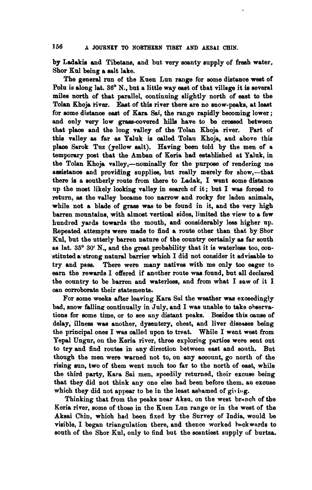by Ladakis and Tibetans, and but very scanty supply of fresh water, Shor **Knl** being a ealt lake.

The general run of the Kuen Lun range for some distance west of Polu is along lat. 36° N., but a little way east of that village it is several miles north of that parallel, continuing slightly north of east to the Tolan Khoja **iiver.** East of this river there are no mow-peaks, at least for some distance east of Kara Sai, the range rapidly becoming lower; and only very low grass-covered hills have to be crossed between that plaoe and the long valley of the Tolan Khoja river. Part of thin valley aa far aa Yaluk **ie** oalled Tolan Khoja, and above this plaoe Sarok Tnz (yellow aalt). Having **been** told by the men of a temporary poet that the Amban of Keria had eetabliahed at Yaluk, in the Tolan Khoja valley,--nominally for the purpose of rendering me assistance and providing supplies, but really merely for show,--that there is a southerly route from there to Ladak, I went some distance up the most likely looking valley in search of it; but I was forced to return, **ae** the valley became too narrow end rocky for laden animals, while not a blade of **grass** was to be found in it, and the very high barren monntaine, with almost vertioal sides, limited the view to a few hundred yards towards the mouth, and oonsiderably leas higher np. Repeated attempts were made to find a route other than that by Sbor Kul, but the utterly barren nature of the country certainly as far south as lat. 35° 30' N., and the great probability that it is waterless too, constituted a strong natural barrier which I did not consider it advisable to try and pass. There were many natives with me only too eager to There were many natives with me only too eager to earn tho rewards I offered if another route was found, but all declared tho oonntry to be barren and waterlese, and from what I saw of it I can corroborate their statements.

For some weeks after leaving Kara Sai the weather waa exoeedingly bad, snow falling continually in July, and I was unable to take ohservations for eome time, or to see any dietant peaks. Beeidee this oause of delay, illness was another, dysentery, chest, and liver diseases being the principal ones I was called upon to treat. While I went west from Yepal Ungur, on the Keria river, three exploring parties were sent out to try and find routes in any direction between east and south. But though the men were warned not to, on any account, go north of the rising sun, two of them went much too far to the north of east, while the third party, Kara Sai men, speedily returned, their exouse being that they did not think any one else had been before them. an exouse which they did not appear to be in the least ashamed of giving.

Thinking that from the peaks near Aksu. on the west branch of the Keria river, some of those in the Kuen Lon range or in the west of the Aksai Chin, whioh had been fixed by the Survey of India, would be visible, I began triangulation there, and thence worked backwards to south of the Shor Kul, only to find but the scantiest supply of burtza.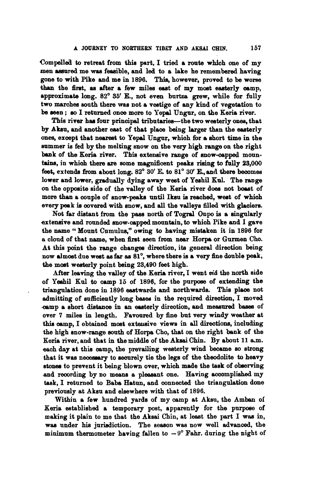Compelled to retreat from thie part, I tried a **route** whfoh one of my men assured me was feasible, and led to a lake he remembered having gone to with Pike and me in **1896.** This, however, proved to be worse than the first, as after a few miles east of my most easterly camp, approximate long. **82'** 35' E., not even burtze grew, while for fully two marches south there was not a vestige of any kind of vegetation to **be** men ; **eo** I returned onoe more to Yopal Ungur, on the Keria river.

This river has four principal tributaries-the two westerly ones, that by Alrsu, and another eaet of that place baing **larger** than the easterly **one%,** exoept that neareat **to** Yepal Ungur, whioh for a ehort time in the summer is fed by the melting snow on the very high range on the right bank of the Keria river. Thie extensive range of snow-oapped mountains, in which there are some magnificent peaks rising to fully 23,000 feet, extends from about long.  $82^{\circ}$  30' E, to  $81^{\circ}$  30' E, and there becomes lower and lower, gradually dying away west of Yeshil Kol. The range on the oppoaite aide of the valloy of the Keria river doea not boaat of more than a couple of snow-peaks until Iksu is reached, west of which every peak is covered with snow, and all the valleys filled with glaciers.

Not far distant from the pass north of Togral Onpo is a singularly exteneive and rounded snow-oapped mountain, to whioh Pike and I gave the name '' Mount **Cnmulw,"** owing to having mietaken it in **1896** for a cloud of that name, when first seen from near Horpa or Gurmen Cho. At this point the range ohangee direotion, **ita** general diredion **being**  now dmoet dne **weet aa** far as **81°,** where there **is** a very he double peak, the most weeterly point being 23,490 feet high.

After leaving the valley of the Keria river, I went vid the north side of Yeahil **Kul** to camp **15** of **1896,** for tho purpose of extending the triangulation dono in **1896** eestwarde and northwarde. Thie pleoe not admitting of sufficiently long bases in the required direction, I moved -oamp a ehort **distanoe** in an easterly direotion, and measured **bawa** of over 7 miles in length. Favoured by fine but very windy weather at this camp, I obtained most extensive views in all directions, including the high snow-range south of Horpa Cho, that on the right bank of the Keria river, and that in the middle of the **Aksai** Chin. By about **11** a.m. each day at this camp, the prevailing westerly wind beoame so etrong that it was necessary to securely tie the legs of the theodolite to heavy stones to prevent it being blown over, which made the task of observing and recording by no means a pleasant one. Having accomplished my task, I returned to Baba Hatun, and oonnected the triangulation done previously at Akeu and elsewhere with that of **1896.** 

Within a few hundred yards of my camp at Akeu, the Amben of Keria established a temporary post, apparently for the purpose of making it plain to me that the **Akaai** Chin, at least the part I was in, was under his jurisdiction. The season was now well advanced, the minimum thermometer having fallen to  $-9^{\circ}$  Fahr. during the night of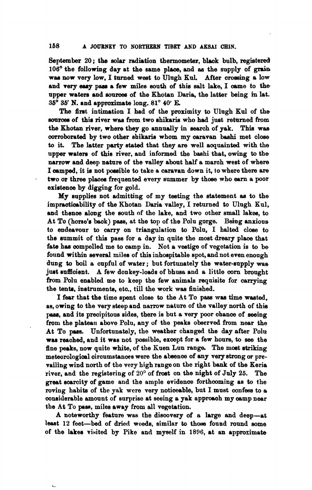**8eptember 20; the solar radiation thermometer, black bulb, registered 106'** the following day at the same plaoe, and **ae** the supply of **grain**  was now very low, I turned west to Ulugh Kul. After crossing a low and very easy pass a few miles south of this salt lake, I came to the upper **watera** and **sonmee** of the Khotan Daria, the latter being **in** let. **36' 36'** N. and approximate long. **81'** 40' E

The first intimation I had of the proximity to Ulugh Kul of the sources of this river was from two shikaris who had just returned from the Khotan river, where they go annually in search of yak. This was corroborated by two other shikaris whom my caravan bashi met close to it. The latter party stated that they are well acquainted with the upper waters of this river, and informed the bashi that, owing to the narrow and deep nature of the valley about half a maroh west of where I oamped, it **is** not yoseible to take a caravan down it, to where there **are**  two or three places frequented every summer by those who earn a poor existence by digging for gold.

My supplies not admitting of my teeting the etatement an to the impracticability of the Khotan Daria valley, I returned to Ulugh Kul. and thenoe along the eouth of the lake, and two other small lakee, to At To (horse's back) pass, at the top of the Polu gorge. Being anxious to endeavour to oarry on triangulation to Poln, I halted close to the summit of this pass for a day in quite the most dreary place that fate has compelled me to camp in. Not a vestige of vegetation is to be found within several miles of thie inhospitable epot, and not even enough dung to boil a oupful of water; but fortunately the water-eupply **was**  just sufficient. A few donkey-loads of bhusa and a little corn brought fiom Polu enabled me to keep the few animals requisite for carrying the tenta, inetmmenta, eto., till the work **was** finished.

I far that the time epent cloee to the At To paee waa time **wasted,**  as, owing to the very steep and narrow nature of the valley north of this pass, and its precipitous sides, there is but a very poor chance of seeing from the plateau above Polu, any of the peaks observed from near the At To pass. Unfortunately, the weather changed the day after Polu was reached, and it was not possible, except for a few hours, to see the fine peaks, now quite white, of the Kuen Lun range. The most striking meteorological circumstances were the absence of any very strong or prevailing wind north of the very high rango on the right bank of the Keria river, and the registering of 20° of frost on the night of July 25. The great scarcity of game and the ample evidence forthcoming as to the roving habita of the yak were very notioeable, but I must oonfess to **<sup>a</sup>** oonsiderable amount of surprise at seeing a yak approaoh my oamp near the At To pass, miles away from all vegetation.

A noteworthy feature was the dieoovery of a large and deep-at least 12 feet-bed of dried weeds, similar to those found round some of the lakes visited by Pike and myself in 1896, at an approximate